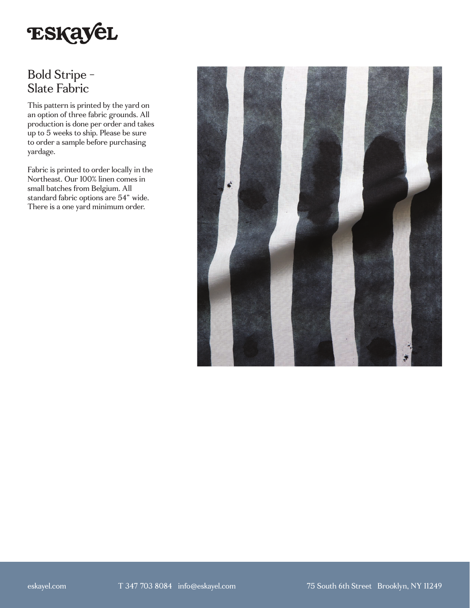

## Bold Stripe - Slate Fabric

This pattern is printed by the yard on an option of three fabric grounds. All production is done per order and takes up to 5 weeks to ship. Please be sure to order a sample before purchasing yardage.

Fabric is printed to order locally in the Northeast. Our 100% linen comes in small batches from Belgium. All standard fabric options are 54" wide. There is a one yard minimum order.

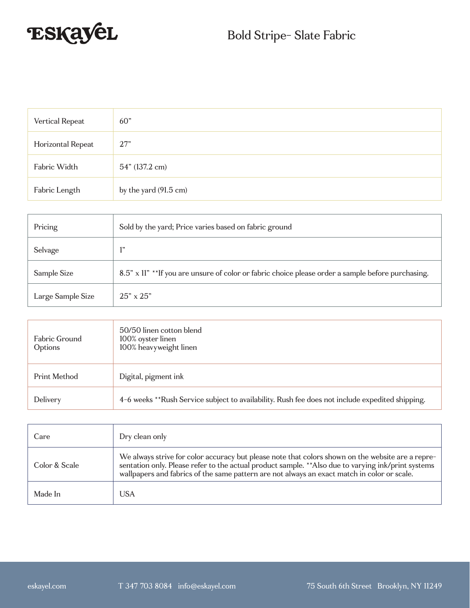

| Vertical Repeat   | 60 <sup>"</sup>       |
|-------------------|-----------------------|
| Horizontal Repeat | 27"                   |
| Fabric Width      | 54" (137.2 cm)        |
| Fabric Length     | by the yard (91.5 cm) |

| Pricing           | Sold by the yard; Price varies based on fabric ground                                             |
|-------------------|---------------------------------------------------------------------------------------------------|
| Selvage           | 1"                                                                                                |
| Sample Size       | 8.5" x 11" **If you are unsure of color or fabric choice please order a sample before purchasing. |
| Large Sample Size | $25" \times 25"$                                                                                  |

| Fabric Ground<br>Options | 50/50 linen cotton blend<br>100% oyster linen<br>100% heavyweight linen                         |
|--------------------------|-------------------------------------------------------------------------------------------------|
| Print Method             | Digital, pigment ink                                                                            |
| Delivery                 | 4-6 weeks **Rush Service subject to availability. Rush fee does not include expedited shipping. |

| Care          | Dry clean only                                                                                                                                                                                                                                                                                          |
|---------------|---------------------------------------------------------------------------------------------------------------------------------------------------------------------------------------------------------------------------------------------------------------------------------------------------------|
| Color & Scale | We always strive for color accuracy but please note that colors shown on the website are a repre-<br>sentation only. Please refer to the actual product sample. ** Also due to varying ink/print systems<br>wallpapers and fabrics of the same pattern are not always an exact match in color or scale. |
| Made In       | <b>USA</b>                                                                                                                                                                                                                                                                                              |